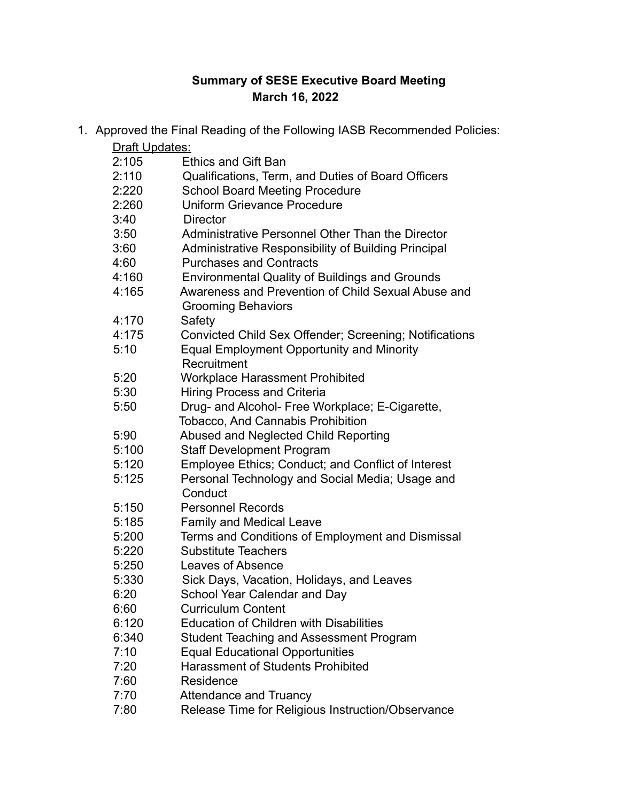## **Summary of SESE Executive Board Meeting March 16, 2022**

|                | 1. Approved the Final Reading of the Following IASB Recommended Policies: |
|----------------|---------------------------------------------------------------------------|
| Draft Updates: |                                                                           |
| 2:105          | <b>Ethics and Gift Ban</b>                                                |
| 2:110          | Qualifications, Term, and Duties of Board Officers                        |
| 2:220          | <b>School Board Meeting Procedure</b>                                     |
| 2:260          | <b>Uniform Grievance Procedure</b>                                        |
| 3:40           | <b>Director</b>                                                           |
| 3:50           | Administrative Personnel Other Than the Director                          |
| 3:60           | Administrative Responsibility of Building Principal                       |
| 4:60           | <b>Purchases and Contracts</b>                                            |
| 4:160          | <b>Environmental Quality of Buildings and Grounds</b>                     |
| 4:165          | Awareness and Prevention of Child Sexual Abuse and                        |
|                | <b>Grooming Behaviors</b>                                                 |
| 4:170          | Safety                                                                    |
| 4:175          | Convicted Child Sex Offender; Screening; Notifications                    |
| 5:10           | <b>Equal Employment Opportunity and Minority</b>                          |
|                | Recruitment                                                               |
| 5:20           | <b>Workplace Harassment Prohibited</b>                                    |
| 5:30           | <b>Hiring Process and Criteria</b>                                        |
| 5:50           | Drug- and Alcohol- Free Workplace; E-Cigarette,                           |
|                | <b>Tobacco, And Cannabis Prohibition</b>                                  |
| 5:90           | Abused and Neglected Child Reporting                                      |
| 5:100          | <b>Staff Development Program</b>                                          |
| 5:120          | Employee Ethics; Conduct; and Conflict of Interest                        |
| 5:125          | Personal Technology and Social Media; Usage and                           |
|                | Conduct                                                                   |
| 5:150          | <b>Personnel Records</b>                                                  |
| 5:185          | <b>Family and Medical Leave</b>                                           |
| 5:200          | Terms and Conditions of Employment and Dismissal                          |
| 5:220          | <b>Substitute Teachers</b>                                                |
| 5:250          | <b>Leaves of Absence</b>                                                  |
| 5:330          | Sick Days, Vacation, Holidays, and Leaves                                 |
| 6:20           | School Year Calendar and Day                                              |
| 6:60           | <b>Curriculum Content</b>                                                 |
| 6:120          | <b>Education of Children with Disabilities</b>                            |
| 6:340          | <b>Student Teaching and Assessment Program</b>                            |
| 7:10           | <b>Equal Educational Opportunities</b>                                    |
| 7:20           | <b>Harassment of Students Prohibited</b>                                  |
| 7:60           | Residence                                                                 |
| 7:70           | <b>Attendance and Truancy</b>                                             |
| 7:80           | Release Time for Religious Instruction/Observance                         |